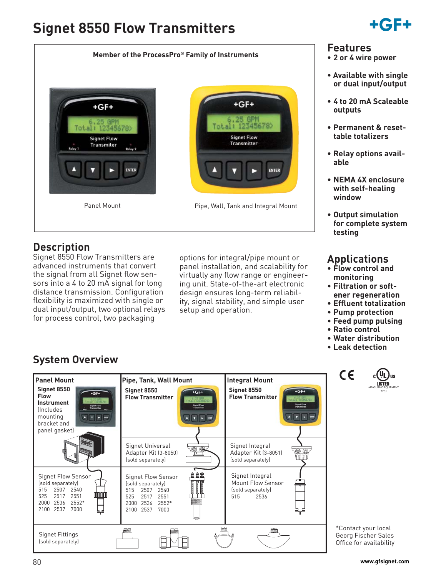# **Signet 8550 Flow Transmitters**



# **Description**

Signet 8550 Flow Transmitters are advanced instruments that convert the signal from all Signet flow sensors into a 4 to 20 mA signal for long distance transmission. Configuration flexibility is maximized with single or dual input/output, two optional relays for process control, two packaging

options for integral/pipe mount or panel installation, and scalability for virtually any flow range or engineering unit. State-of-the-art electronic design ensures long-term reliability, signal stability, and simple user setup and operation.



## **Features**

- **2 or 4 wire power**
- **Available with single or dual input/output**
- **4 to 20 mA Scaleable outputs**
- **Permanent & resettable totalizers**
- **Relay options available**
- **NEMA 4X enclosure with self-healing window**
- **Output simulation for complete system testing**

# **Applications**

- **Flow control and monitoring**
- **Filtration or softener regeneration**
- **Effluent totalization**
- **Pump protection**
- **Feed pump pulsing**
- **Ratio control**

 $\epsilon$ 

- **Water distribution**
- **Leak detection**

# **System Overview**



ŲL **LISTED** MEASURING EQUIPMENT 77CJ

\*Contact your local Georg Fischer Sales Office for availability